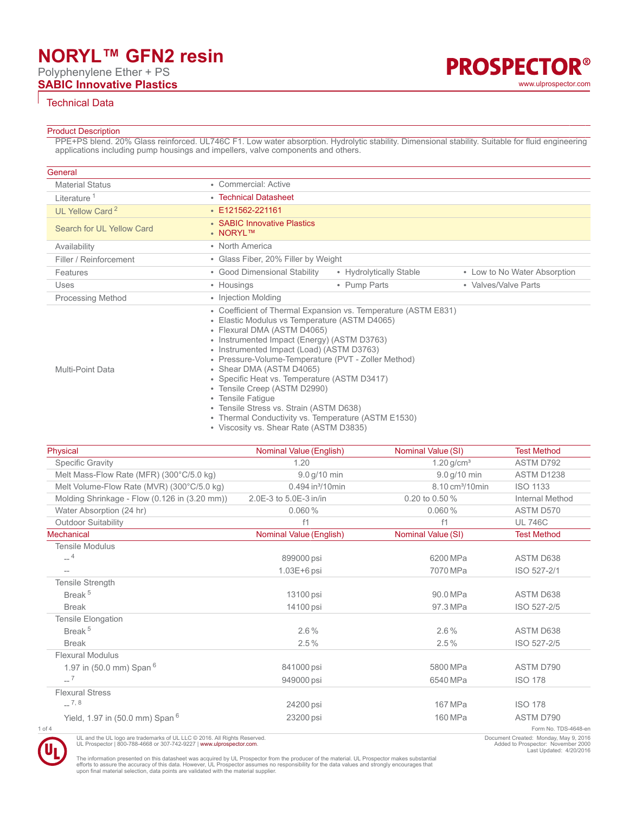# **NORYL™ GFN2 resin**

Polyphenylene Ether + PS

**SABIC Innovative Plastics** [www.ulprospector.com](http://www.ulprospector.com)

# Technical Data

### Product Description

PPE+PS blend. 20% Glass reinforced. UL746C F1. Low water absorption. Hydrolytic stability. Dimensional stability. Suitable for fluid engineering applications including pump housings and impellers, valve components and others.

| General                     |                                                                                                                                                                                                                                                                                                                                                                                                                                                                                                                                   |                              |
|-----------------------------|-----------------------------------------------------------------------------------------------------------------------------------------------------------------------------------------------------------------------------------------------------------------------------------------------------------------------------------------------------------------------------------------------------------------------------------------------------------------------------------------------------------------------------------|------------------------------|
| <b>Material Status</b>      | • Commercial: Active                                                                                                                                                                                                                                                                                                                                                                                                                                                                                                              |                              |
| Literature <sup>1</sup>     | • Technical Datasheet                                                                                                                                                                                                                                                                                                                                                                                                                                                                                                             |                              |
| UL Yellow Card <sup>2</sup> | $\cdot$ E121562-221161                                                                                                                                                                                                                                                                                                                                                                                                                                                                                                            |                              |
| Search for UL Yellow Card   | • SABIC Innovative Plastics<br>• NORYLTM                                                                                                                                                                                                                                                                                                                                                                                                                                                                                          |                              |
| Availability                | • North America                                                                                                                                                                                                                                                                                                                                                                                                                                                                                                                   |                              |
| Filler / Reinforcement      | • Glass Fiber, 20% Filler by Weight                                                                                                                                                                                                                                                                                                                                                                                                                                                                                               |                              |
| Features                    | • Good Dimensional Stability<br>• Hydrolytically Stable                                                                                                                                                                                                                                                                                                                                                                                                                                                                           | • Low to No Water Absorption |
| Uses                        | • Pump Parts<br>• Housings                                                                                                                                                                                                                                                                                                                                                                                                                                                                                                        | • Valves/Valve Parts         |
| <b>Processing Method</b>    | • Injection Molding                                                                                                                                                                                                                                                                                                                                                                                                                                                                                                               |                              |
| <b>Multi-Point Data</b>     | • Coefficient of Thermal Expansion vs. Temperature (ASTM E831)<br>• Elastic Modulus vs Temperature (ASTM D4065)<br>• Flexural DMA (ASTM D4065)<br>• Instrumented Impact (Energy) (ASTM D3763)<br>• Instrumented Impact (Load) (ASTM D3763)<br>• Pressure-Volume-Temperature (PVT - Zoller Method)<br>• Shear DMA (ASTM D4065)<br>• Specific Heat vs. Temperature (ASTM D3417)<br>• Tensile Creep (ASTM D2990)<br>• Tensile Fatique<br>• Tensile Stress vs. Strain (ASTM D638)<br>Thormal Canduativity ve Tamparatura (ACTM E1520) |                              |

• Thermal Conductivity vs. Temperature (ASTM E1530)

• Viscosity vs. Shear Rate (ASTM D3835)

| Physical                                                 | Nominal Value (English)      | Nominal Value (SI)           | <b>Test Method</b>                |
|----------------------------------------------------------|------------------------------|------------------------------|-----------------------------------|
| <b>Specific Gravity</b>                                  | 1.20                         | $1.20$ g/cm <sup>3</sup>     | ASTM D792                         |
| Melt Mass-Flow Rate (MFR) (300°C/5.0 kg)                 | 9.0 g/10 min                 | 9.0 g/10 min                 | ASTM D1238                        |
| Melt Volume-Flow Rate (MVR) (300°C/5.0 kg)               | 0.494 in <sup>3</sup> /10min | 8.10 cm <sup>3</sup> /10 min | <b>ISO 1133</b>                   |
| Molding Shrinkage - Flow (0.126 in (3.20 mm))            | 2.0E-3 to 5.0E-3 in/in       | 0.20 to 0.50 %               | Internal Method                   |
| Water Absorption (24 hr)                                 | 0.060%                       | 0.060%                       | ASTM D570                         |
| <b>Outdoor Suitability</b>                               | f1                           | f1                           | <b>UL 746C</b>                    |
| Mechanical                                               | Nominal Value (English)      | Nominal Value (SI)           | <b>Test Method</b>                |
| <b>Tensile Modulus</b>                                   |                              |                              |                                   |
| $-4$                                                     | 899000 psi                   | 6200 MPa                     | <b>ASTM D638</b>                  |
|                                                          | $1.03E + 6$ psi              | 7070 MPa                     | ISO 527-2/1                       |
| Tensile Strength                                         |                              |                              |                                   |
| Break <sup>5</sup>                                       | 13100 psi                    | 90.0 MPa                     | ASTM D638                         |
| <b>Break</b>                                             | 14100 psi                    | 97.3 MPa                     | ISO 527-2/5                       |
| <b>Tensile Elongation</b>                                |                              |                              |                                   |
| Break <sup>5</sup>                                       | $2.6\%$                      | $2.6\%$                      | ASTM D638                         |
| <b>Break</b>                                             | 2.5%                         | 2.5%                         | ISO 527-2/5                       |
| <b>Flexural Modulus</b>                                  |                              |                              |                                   |
| 1.97 in (50.0 mm) Span <sup>6</sup>                      | 841000 psi                   | 5800 MPa                     | ASTM D790                         |
| $-7$                                                     | 949000 psi                   | 6540 MPa                     | <b>ISO 178</b>                    |
| <b>Flexural Stress</b>                                   |                              |                              |                                   |
| $-7,8$                                                   | 24200 psi                    | 167 MPa                      | <b>ISO 178</b>                    |
| Yield, 1.97 in (50.0 mm) Span <sup>6</sup><br>$1$ of $4$ | 23200 psi                    | 160 MPa                      | ASTM D790<br>Form No. TDS-4648-en |



UL and the UL logo are trademarks of UL LLC © 2016. All Rights Reserved.<br>UL Prospector | 800-788-4668 or 307-742-9227 | [www.ulprospector.com](http://www.ulprospector.com).

**PROSPECTOR®** 

The information presented on this datasheet was acquired by UL Prospector from the producer of the material. UL Prospector makes substantial<br>efforts to assure the accuracy of this data. However, UL Prospector assumes no re

Document Created: Monday, May 9, 2016 Added to Prospector: November 2000 Last Updated: 4/20/2016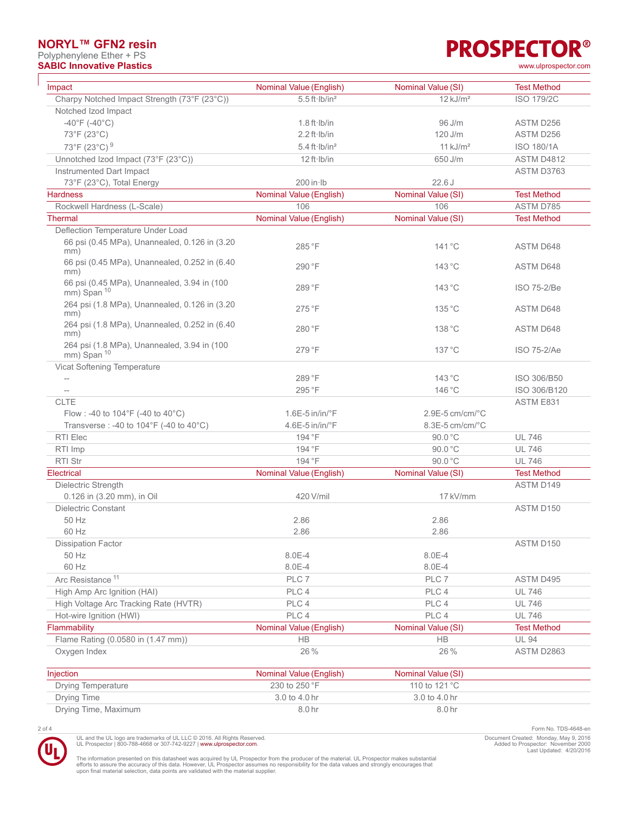## **NORYL™ GFN2 resin**

Polyphenylene Ether + PS

# **PROSPECTOR® SABIC Innovative Plastics** [www.ulprospector.com](http://www.ulprospector.com)

| Impact                                                         | Nominal Value (English)             | Nominal Value (SI)     | <b>Test Method</b> |
|----------------------------------------------------------------|-------------------------------------|------------------------|--------------------|
| Charpy Notched Impact Strength (73°F (23°C))                   | $5.5$ ft $\cdot$ Ib/in <sup>2</sup> | $12$ kJ/m <sup>2</sup> | <b>ISO 179/2C</b>  |
| Notched Izod Impact                                            |                                     |                        |                    |
| $-40^{\circ}$ F (-40 $^{\circ}$ C)                             | $1.8 \text{ ft·lb/in}$              | 96 J/m                 | ASTM D256          |
| 73°F (23°C)                                                    | $2.2$ ft $\cdot$ Ib/in              | 120 J/m                | ASTM D256          |
| 73°F (23°C) <sup>9</sup>                                       | $5.4$ ft $\cdot$ Ib/in <sup>2</sup> | $11$ kJ/m <sup>2</sup> | <b>ISO 180/1A</b>  |
| Unnotched Izod Impact (73°F (23°C))                            | 12 ft·lb/in                         | 650 J/m                | <b>ASTM D4812</b>  |
| Instrumented Dart Impact                                       |                                     |                        | ASTM D3763         |
| 73°F (23°C), Total Energy                                      | $200$ in $\cdot$ Ib                 | 22.6J                  |                    |
| <b>Hardness</b>                                                | Nominal Value (English)             | Nominal Value (SI)     | <b>Test Method</b> |
| Rockwell Hardness (L-Scale)                                    | 106                                 | 106                    | ASTM D785          |
| <b>Thermal</b>                                                 | Nominal Value (English)             | Nominal Value (SI)     | <b>Test Method</b> |
| Deflection Temperature Under Load                              |                                     |                        |                    |
| 66 psi (0.45 MPa), Unannealed, 0.126 in (3.20<br>mm)           | 285 °F                              | $141^{\circ}$ C        | <b>ASTM D648</b>   |
| 66 psi (0.45 MPa), Unannealed, 0.252 in (6.40<br>mm)           | 290 °F                              | 143 °C                 | ASTM D648          |
| 66 psi (0.45 MPa), Unannealed, 3.94 in (100<br>$mm)$ Span $10$ | 289 °F                              | 143 °C                 | ISO 75-2/Be        |
| 264 psi (1.8 MPa), Unannealed, 0.126 in (3.20<br>mm)           | 275°F                               | 135 °C                 | <b>ASTM D648</b>   |
| 264 psi (1.8 MPa), Unannealed, 0.252 in (6.40<br>mm)           | 280 °F                              | 138 °C                 | ASTM D648          |
| 264 psi (1.8 MPa), Unannealed, 3.94 in (100<br>mm) Span 10     | 279 °F                              | 137 °C                 | <b>ISO 75-2/Ae</b> |
| Vicat Softening Temperature                                    |                                     |                        |                    |
| $-\!$                                                          | 289 °F                              | 143 °C                 | ISO 306/B50        |
| $-\!$ –                                                        | 295 °F                              | 146 °C                 | ISO 306/B120       |
| <b>CLTE</b>                                                    |                                     |                        | ASTM E831          |
| Flow : -40 to 104°F (-40 to 40°C)                              | $1.6E-5$ in/in/ $\degree$ F         | 2.9E-5 cm/cm/°C        |                    |
| Transverse : -40 to 104°F (-40 to 40°C)                        | 4.6E-5 in/in/°F                     | 8.3E-5 cm/cm/°C        |                    |
| RTI Elec                                                       | 194 °F                              | 90.0 °C                | <b>UL 746</b>      |
| RTI Imp                                                        | 194 °F                              | 90.0 °C                | <b>UL 746</b>      |
| <b>RTI Str</b>                                                 | 194 °F                              | 90.0 °C                | <b>UL 746</b>      |
| Electrical                                                     | Nominal Value (English)             | Nominal Value (SI)     | <b>Test Method</b> |
| Dielectric Strength                                            |                                     |                        | ASTM D149          |
| 0.126 in (3.20 mm), in Oil                                     | 420 V/mil                           | 17 kV/mm               |                    |
| <b>Dielectric Constant</b>                                     |                                     |                        | ASTM D150          |
| 50 Hz                                                          | 2.86                                | 2.86                   |                    |
| 60 Hz                                                          | 2.86                                | 2.86                   |                    |
| <b>Dissipation Factor</b>                                      |                                     |                        | ASTM D150          |
| 50 Hz                                                          | 8.0E-4                              | 8.0E-4                 |                    |
| 60 Hz                                                          | 8.0E-4                              | 8.0E-4                 |                    |
| Arc Resistance <sup>11</sup>                                   | PLC 7                               | PLC 7                  | ASTM D495          |
| High Amp Arc Ignition (HAI)                                    | PLC 4                               | PLC 4                  | <b>UL 746</b>      |
| High Voltage Arc Tracking Rate (HVTR)                          | PLC 4                               | PLC 4                  | <b>UL 746</b>      |
| Hot-wire Ignition (HWI)                                        | PLC 4                               | PLC 4                  | <b>UL 746</b>      |
| Flammability                                                   | Nominal Value (English)             | Nominal Value (SI)     | <b>Test Method</b> |
| Flame Rating (0.0580 in (1.47 mm))                             | <b>HB</b>                           | <b>HB</b>              | <b>UL 94</b>       |
| Oxygen Index                                                   | 26 %                                | 26 %                   | ASTM D2863         |
|                                                                |                                     |                        |                    |

| Injection            | Nominal Value (English) | Nominal Value (SI) |  |
|----------------------|-------------------------|--------------------|--|
| Drying Temperature   | 230 to 250 $\degree$ F  | 110 to 121 °C      |  |
| Drying Time          | 3.0 to 4.0 hr           | 3.0 to 4.0 hr      |  |
| Drying Time, Maximum | 8.0 hr                  | 8.0 hr             |  |



UL and the UL logo are trademarks of UL LLC © 2016. All Rights Reserved.<br>UL Prospector | 800-788-4668 or 307-742-9227 | [www.ulprospector.com](http://www.ulprospector.com).

2 of 4 Form No. TDS-4648-en Document Created: Monday, May 9, 2016 Added to Prospector: November 2000 Last Updated: 4/20/2016

The information presented on this datasheet was acquired by UL Prospector from the producer of the material. UL Prospector makes substantial<br>efforts to assure the accuracy of this data. However, UL Prospector assumes no re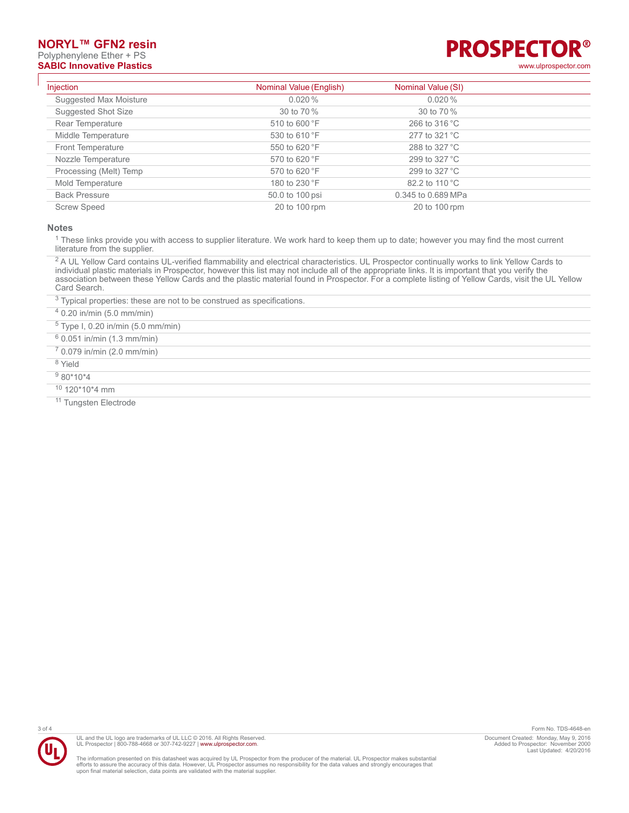### **NORYL™ GFN2 resin**

# Polyphenylene Ether + PS



| Injection              | Nominal Value (English) | Nominal Value (SI)      |  |
|------------------------|-------------------------|-------------------------|--|
| Suggested Max Moisture | $0.020\%$               | 0.020%                  |  |
| Suggested Shot Size    | 30 to 70 %              | 30 to 70 %              |  |
| Rear Temperature       | 510 to 600 °F           | 266 to 316 $^{\circ}$ C |  |
| Middle Temperature     | 530 to 610 °F           | 277 to 321 °C           |  |
| Front Temperature      | 550 to 620 °F           | 288 to 327 °C           |  |
| Nozzle Temperature     | 570 to 620 °F           | 299 to 327 $^{\circ}$ C |  |
| Processing (Melt) Temp | 570 to 620 °F           | 299 to 327 °C           |  |
| Mold Temperature       | 180 to 230 °F           | 82.2 to 110 °C          |  |
| <b>Back Pressure</b>   | 50.0 to 100 psi         | 0.345 to 0.689 MPa      |  |
| <b>Screw Speed</b>     | 20 to 100 rpm           | 20 to 100 rpm           |  |

**Notes**

<sup>1</sup> These links provide you with access to supplier literature. We work hard to keep them up to date; however you may find the most current literature from the supplier.

<sup>2</sup> A UL Yellow Card contains UL-verified flammability and electrical characteristics. UL Prospector continually works to link Yellow Cards to individual plastic materials in Prospector, however this list may not include all of the appropriate links. It is important that you verify the association between these Yellow Cards and the plastic material found in Prospector. For a complete listing of Yellow Cards, visit the UL Yellow Card Search.

 $3$  Typical properties: these are not to be construed as specifications.

4 0.20 in/min (5.0 mm/min)

5 Type I, 0.20 in/min (5.0 mm/min)

- 6 0.051 in/min (1.3 mm/min)
- 7 0.079 in/min (2.0 mm/min)
- 8 Yield
- <sup>9</sup> 80\*10\*4
- <sup>10</sup> 120\*10\*4 mm

<sup>11</sup> Tungsten Electrode



UL and the UL logo are trademarks of UL LLC © 2016. All Rights Reserved. UL Prospector | 800-788-4668 or 307-742-9227 | [www.ulprospector.com](http://www.ulprospector.com).

The information presented on this datasheet was acquired by UL Prospector from the producer of the material. UL Prospector makes substantial<br>efforts to assure the accuracy of this data. However, UL Prospector assumes no re

3 of 4 Form No. TDS-4648-en Document Created: Monday, May 9, 2016 Added to Prospector: November 2000 Last Updated: 4/20/2016